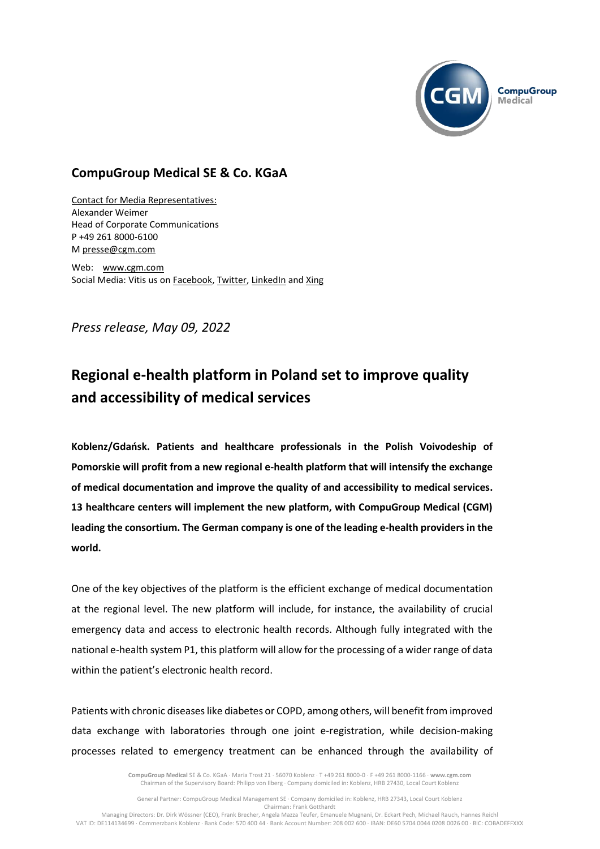

## **CompuGroup Medical SE & Co. KGaA**

Contact for Media Representatives: Alexander Weimer Head of Corporate Communications P +49 261 8000-6100 M [presse@cgm.com](mailto:presse@cgm.com)

Web: [www.cgm.com](http://www.cgm.com/) Social Media: Vitis us on [Facebook,](https://www.facebook.com/CompuGroup-Medical-SE-Co-KGaA-112275907098431) [Twitter,](https://twitter.com/CGMeHealth) [LinkedIn](https://www.linkedin.com/company/compugroup-medical-ag/) an[d Xing](https://www.xing.com/companies/compugroupmedicalag/updates)

*Press release, May 09, 2022*

## **Regional e-health platform in Poland set to improve quality and accessibility of medical services**

**Koblenz/Gdańsk. Patients and healthcare professionals in the Polish Voivodeship of Pomorskie will profit from a new regional e-health platform that will intensify the exchange of medical documentation and improve the quality of and accessibility to medical services. 13 healthcare centers will implement the new platform, with CompuGroup Medical (CGM) leading the consortium. The German company is one of the leading e-health providers in the world.**

One of the key objectives of the platform is the efficient exchange of medical documentation at the regional level. The new platform will include, for instance, the availability of crucial emergency data and access to electronic health records. Although fully integrated with the national e-health system P1, this platform will allow for the processing of a wider range of data within the patient's electronic health record.

Patients with chronic diseases like diabetes or COPD, among others, will benefit from improved data exchange with laboratories through one joint e-registration, while decision-making processes related to emergency treatment can be enhanced through the availability of

> **CompuGroup Medical** SE & Co. KGaA · Maria Trost 21 · 56070 Koblenz · T +49 261 8000-0 · F +49 261 8000-1166 · **www.cgm.com** Chairman of the Supervisory Board: Philipp von Ilberg · Company domiciled in: Koblenz, HRB 27430, Local Court Koblenz